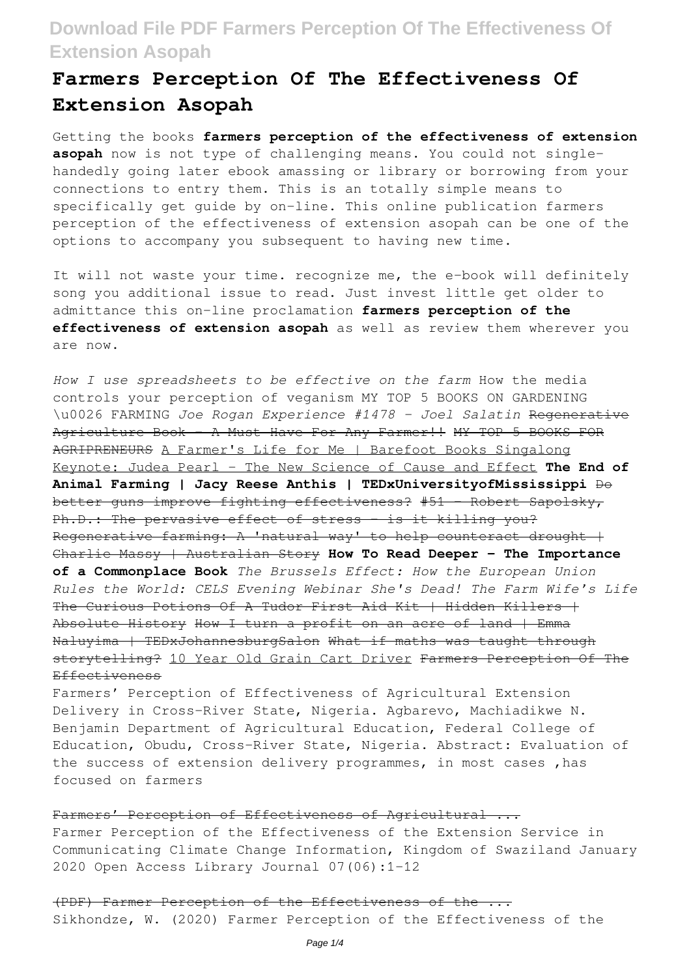# **Farmers Perception Of The Effectiveness Of Extension Asopah**

Getting the books **farmers perception of the effectiveness of extension asopah** now is not type of challenging means. You could not singlehandedly going later ebook amassing or library or borrowing from your connections to entry them. This is an totally simple means to specifically get guide by on-line. This online publication farmers perception of the effectiveness of extension asopah can be one of the options to accompany you subsequent to having new time.

It will not waste your time. recognize me, the e-book will definitely song you additional issue to read. Just invest little get older to admittance this on-line proclamation **farmers perception of the effectiveness of extension asopah** as well as review them wherever you are now.

*How I use spreadsheets to be effective on the farm* How the media controls your perception of veganism MY TOP 5 BOOKS ON GARDENING \u0026 FARMING *Joe Rogan Experience #1478 - Joel Salatin* Regenerative Agriculture Book - A Must Have For Any Farmer!! MY TOP 5 BOOKS FOR AGRIPRENEURS A Farmer's Life for Me | Barefoot Books Singalong Keynote: Judea Pearl - The New Science of Cause and Effect **The End of Animal Farming | Jacy Reese Anthis | TEDxUniversityofMississippi** Do better guns improve fighting effectiveness? #51 – Robert Sapolsky, Ph.D.: The pervasive effect of stress - is it killing you? Regenerative farming: A 'natural way' to help counteract drought  $+$ Charlie Massy | Australian Story **How To Read Deeper - The Importance of a Commonplace Book** *The Brussels Effect: How the European Union Rules the World: CELS Evening Webinar She's Dead! The Farm Wife's Life* The Curious Potions Of A Tudor First Aid Kit | Hidden Killers | Absolute History How I turn a profit on an acre of land | Emma Naluyima | TEDxJohannesburgSalon What if maths was taught through storytelling? 10 Year Old Grain Cart Driver Farmers Perception Of The Effectiveness

Farmers' Perception of Effectiveness of Agricultural Extension Delivery in Cross-River State, Nigeria. Agbarevo, Machiadikwe N. Benjamin Department of Agricultural Education, Federal College of Education, Obudu, Cross-River State, Nigeria. Abstract: Evaluation of the success of extension delivery programmes, in most cases ,has focused on farmers

### Farmers' Perception of Effectiveness of Agricultural ...

Farmer Perception of the Effectiveness of the Extension Service in Communicating Climate Change Information, Kingdom of Swaziland January 2020 Open Access Library Journal 07(06):1-12

(PDF) Farmer Perception of the Effectiveness of the. Sikhondze, W. (2020) Farmer Perception of the Effectiveness of the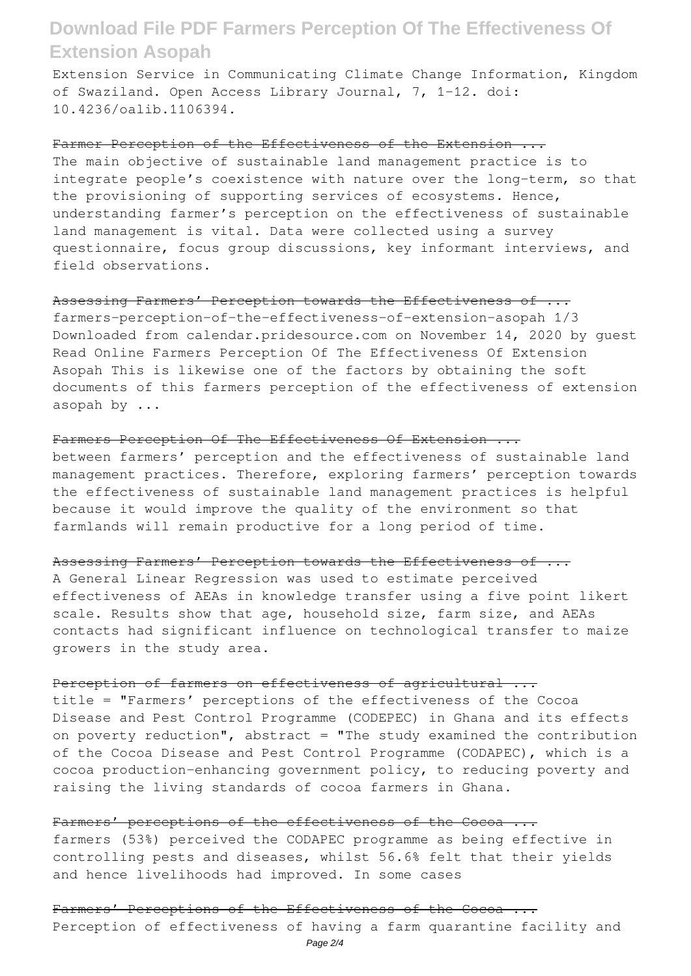Extension Service in Communicating Climate Change Information, Kingdom of Swaziland. Open Access Library Journal, 7, 1-12. doi: 10.4236/oalib.1106394.

#### Farmer Perception of the Effectiveness of the Extension ...

The main objective of sustainable land management practice is to integrate people's coexistence with nature over the long-term, so that the provisioning of supporting services of ecosystems. Hence, understanding farmer's perception on the effectiveness of sustainable land management is vital. Data were collected using a survey questionnaire, focus group discussions, key informant interviews, and field observations.

### Assessing Farmers' Perception towards the Effectiveness of ...

farmers-perception-of-the-effectiveness-of-extension-asopah 1/3 Downloaded from calendar.pridesource.com on November 14, 2020 by guest Read Online Farmers Perception Of The Effectiveness Of Extension Asopah This is likewise one of the factors by obtaining the soft documents of this farmers perception of the effectiveness of extension asopah by ...

### Farmers Perception Of The Effectiveness Of Extension ...

between farmers' perception and the effectiveness of sustainable land management practices. Therefore, exploring farmers' perception towards the effectiveness of sustainable land management practices is helpful because it would improve the quality of the environment so that farmlands will remain productive for a long period of time.

#### Assessing Farmers' Perception towards the Effectiveness of ...

A General Linear Regression was used to estimate perceived effectiveness of AEAs in knowledge transfer using a five point likert scale. Results show that age, household size, farm size, and AEAs contacts had significant influence on technological transfer to maize growers in the study area.

### Perception of farmers on effectiveness of agricultural ...

title = "Farmers' perceptions of the effectiveness of the Cocoa Disease and Pest Control Programme (CODEPEC) in Ghana and its effects on poverty reduction", abstract = "The study examined the contribution of the Cocoa Disease and Pest Control Programme (CODAPEC), which is a cocoa production-enhancing government policy, to reducing poverty and raising the living standards of cocoa farmers in Ghana.

#### Farmers' perceptions of the effectiveness of the Cocoa ...

farmers (53%) perceived the CODAPEC programme as being effective in controlling pests and diseases, whilst 56.6% felt that their yields and hence livelihoods had improved. In some cases

### Farmers' Perceptions of the Effectiveness of the Cocoa ...

Perception of effectiveness of having a farm quarantine facility and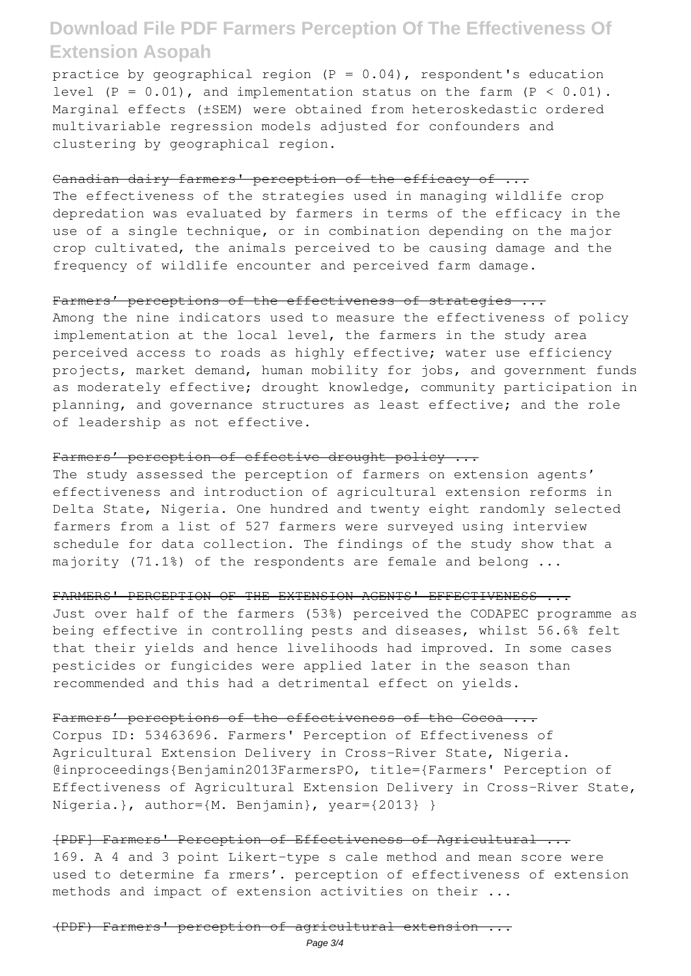practice by geographical region  $(P = 0.04)$ , respondent's education level  $(P = 0.01)$ , and implementation status on the farm  $(P < 0.01)$ . Marginal effects (±SEM) were obtained from heteroskedastic ordered multivariable regression models adjusted for confounders and clustering by geographical region.

#### Canadian dairy farmers' perception of the efficacy of ...

The effectiveness of the strategies used in managing wildlife crop depredation was evaluated by farmers in terms of the efficacy in the use of a single technique, or in combination depending on the major crop cultivated, the animals perceived to be causing damage and the frequency of wildlife encounter and perceived farm damage.

## Farmers' perceptions of the effectiveness of strategies ...

Among the nine indicators used to measure the effectiveness of policy implementation at the local level, the farmers in the study area perceived access to roads as highly effective; water use efficiency projects, market demand, human mobility for jobs, and government funds as moderately effective; drought knowledge, community participation in planning, and governance structures as least effective; and the role of leadership as not effective.

#### Farmers' perception of effective drought policy ...

The study assessed the perception of farmers on extension agents' effectiveness and introduction of agricultural extension reforms in Delta State, Nigeria. One hundred and twenty eight randomly selected farmers from a list of 527 farmers were surveyed using interview schedule for data collection. The findings of the study show that a majority (71.1%) of the respondents are female and belong ...

#### FARMERS' PERCEPTION OF THE EXTENSION AGENTS' EFFECTIVENESS ...

Just over half of the farmers (53%) perceived the CODAPEC programme as being effective in controlling pests and diseases, whilst 56.6% felt that their yields and hence livelihoods had improved. In some cases pesticides or fungicides were applied later in the season than recommended and this had a detrimental effect on yields.

#### Farmers' perceptions of the effectiveness of the Cocoa ...

Corpus ID: 53463696. Farmers' Perception of Effectiveness of Agricultural Extension Delivery in Cross-River State, Nigeria. @inproceedings{Benjamin2013FarmersPO, title={Farmers' Perception of Effectiveness of Agricultural Extension Delivery in Cross-River State, Nigeria.}, author={M. Benjamin}, year={2013} }

[PDF] Farmers' Perception of Effectiveness of Agricultural ... 169. A 4 and 3 point Likert-type s cale method and mean score were used to determine fa rmers'. perception of effectiveness of extension methods and impact of extension activities on their ...